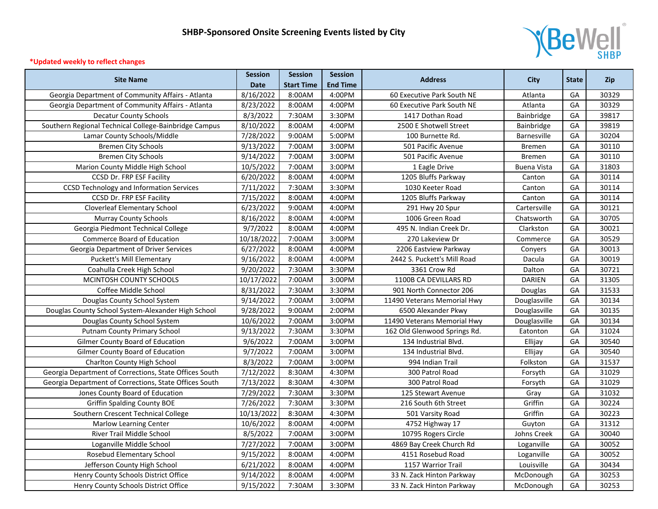

## **\*Updated weekly to reflect changes**

| <b>Site Name</b>                                       | <b>Session</b>         | <b>Session</b>    | <b>Session</b>  | <b>Address</b>               | <b>City</b>        | <b>State</b> | <b>Zip</b> |
|--------------------------------------------------------|------------------------|-------------------|-----------------|------------------------------|--------------------|--------------|------------|
|                                                        | <b>Date</b>            | <b>Start Time</b> | <b>End Time</b> |                              |                    |              |            |
| Georgia Department of Community Affairs - Atlanta      | 8/16/2022              | 8:00AM            | 4:00PM          | 60 Executive Park South NE   | Atlanta            | GA           | 30329      |
| Georgia Department of Community Affairs - Atlanta      | 8/23/2022              | 8:00AM            | 4:00PM          | 60 Executive Park South NE   | Atlanta            | GA           | 30329      |
| <b>Decatur County Schools</b>                          | 8/3/2022               | 7:30AM            | 3:30PM          | 1417 Dothan Road             | Bainbridge         | GA           | 39817      |
| Southern Regional Technical College-Bainbridge Campus  | 8/10/2022              | 8:00AM            | 4:00PM          | 2500 E Shotwell Street       | <b>Bainbridge</b>  | GA           | 39819      |
| Lamar County Schools/Middle                            | 7/28/2022              | 9:00AM            | 5:00PM          | 100 Burnette Rd.             | Barnesville        | GA           | 30204      |
| <b>Bremen City Schools</b>                             | 9/13/2022              | 7:00AM            | 3:00PM          | 501 Pacific Avenue           | <b>Bremen</b>      | GA           | 30110      |
| <b>Bremen City Schools</b>                             | 9/14/2022              | 7:00AM            | 3:00PM          | 501 Pacific Avenue           | Bremen             | GA           | 30110      |
| Marion County Middle High School                       | 10/5/2022              | 7:00AM            | 3:00PM          | 1 Eagle Drive                | <b>Buena Vista</b> | GA           | 31803      |
| CCSD Dr. FRP ESF Facility                              | 6/20/2022              | 8:00AM            | 4:00PM          | 1205 Bluffs Parkway          | Canton             | GA           | 30114      |
| <b>CCSD Technology and Information Services</b>        | 7/11/2022              | 7:30AM            | 3:30PM          | 1030 Keeter Road             | Canton             | GA           | 30114      |
| CCSD Dr. FRP ESF Facility                              | 7/15/2022              | 8:00AM            | 4:00PM          | 1205 Bluffs Parkway          | Canton             | GA           | 30114      |
| <b>Cloverleaf Elementary School</b>                    | 6/23/2022              | 9:00AM            | 4:00PM          | 291 Hwy 20 Spur              | Cartersville       | GA           | 30121      |
| <b>Murray County Schools</b>                           | 8/16/2022              | 8:00AM            | 4:00PM          | 1006 Green Road              | Chatsworth         | GA           | 30705      |
| Georgia Piedmont Technical College                     | 9/7/2022               | 8:00AM            | 4:00PM          | 495 N. Indian Creek Dr.      | Clarkston          | GA           | 30021      |
| Commerce Board of Education                            | 10/18/2022             | 7:00AM            | 3:00PM          | 270 Lakeview Dr              | Commerce           | GA           | 30529      |
| Georgia Department of Driver Services                  | 6/27/2022              | 8:00AM            | 4:00PM          | 2206 Eastview Parkway        | Conyers            | GA           | 30013      |
| Puckett's Mill Elementary                              | 9/16/2022              | 8:00AM            | 4:00PM          | 2442 S. Puckett's Mill Road  | Dacula             | GA           | 30019      |
| Coahulla Creek High School                             | 9/20/2022              | 7:30AM            | 3:30PM          | 3361 Crow Rd                 | Dalton             | GA           | 30721      |
| MCINTOSH COUNTY SCHOOLS                                | 10/17/2022             | 7:00AM            | 3:00PM          | 1100B CA DEVILLARS RD        | <b>DARIEN</b>      | GA           | 31305      |
| Coffee Middle School                                   | 8/31/2022              | 7:30AM            | 3:30PM          | 901 North Connector 206      | Douglas            | GA           | 31533      |
| Douglas County School System                           | 9/14/2022              | 7:00AM            | 3:00PM          | 11490 Veterans Memorial Hwy  | Douglasville       | GA           | 30134      |
| Douglas County School System-Alexander High School     | 9/28/2022              | 9:00AM            | 2:00PM          | 6500 Alexander Pkwy          | Douglasville       | GA           | 30135      |
| Douglas County School System                           | 10/6/2022              | 7:00AM            | 3:00PM          | 11490 Veterans Memorial Hwy  | Douglasville       | GA           | 30134      |
| Putnam County Primary School                           | $\overline{9}/13/2022$ | 7:30AM            | 3:30PM          | 162 Old Glenwood Springs Rd. | Eatonton           | GA           | 31024      |
| Gilmer County Board of Education                       | 9/6/2022               | 7:00AM            | 3:00PM          | 134 Industrial Blvd.         | Ellijay            | GA           | 30540      |
| Gilmer County Board of Education                       | 9/7/2022               | 7:00AM            | 3:00PM          | 134 Industrial Blvd.         | Ellijay            | GA           | 30540      |
| <b>Charlton County High School</b>                     | 8/3/2022               | 7:00AM            | 3:00PM          | 994 Indian Trail             | Folkston           | GA           | 31537      |
| Georgia Department of Corrections, State Offices South | 7/12/2022              | 8:30AM            | 4:30PM          | 300 Patrol Road              | Forsyth            | GA           | 31029      |
| Georgia Department of Corrections, State Offices South | 7/13/2022              | 8:30AM            | 4:30PM          | 300 Patrol Road              | Forsyth            | GA           | 31029      |
| Jones County Board of Education                        | 7/29/2022              | 7:30AM            | 3:30PM          | 125 Stewart Avenue           | Gray               | GA           | 31032      |
| <b>Griffin Spalding County BOE</b>                     | 7/26/2022              | 7:30AM            | 3:30PM          | 216 South 6th Street         | Griffin            | GA           | 30224      |
| Southern Crescent Technical College                    | 10/13/2022             | 8:30AM            | 4:30PM          | 501 Varsity Road             | Griffin            | GA           | 30223      |
| Marlow Learning Center                                 | 10/6/2022              | 8:00AM            | 4:00PM          | 4752 Highway 17              | Guyton             | GA           | 31312      |
| River Trail Middle School                              | 8/5/2022               | 7:00AM            | 3:00PM          | 10795 Rogers Circle          | Johns Creek        | GA           | 30040      |
| Loganville Middle School                               | 7/27/2022              | 7:00AM            | 3:00PM          | 4869 Bay Creek Church Rd     | Loganville         | GA           | 30052      |
| Rosebud Elementary School                              | 9/15/2022              | 8:00AM            | 4:00PM          | 4151 Rosebud Road            | Loganville         | GA           | 30052      |
| Jefferson County High School                           | 6/21/2022              | 8:00AM            | 4:00PM          | 1157 Warrior Trail           | Louisville         | GA           | 30434      |
| Henry County Schools District Office                   | 9/14/2022              | 8:00AM            | 4:00PM          | 33 N. Zack Hinton Parkway    | McDonough          | GA           | 30253      |
| Henry County Schools District Office                   | 9/15/2022              | 7:30AM            | 3:30PM          | 33 N. Zack Hinton Parkway    | McDonough          | GA           | 30253      |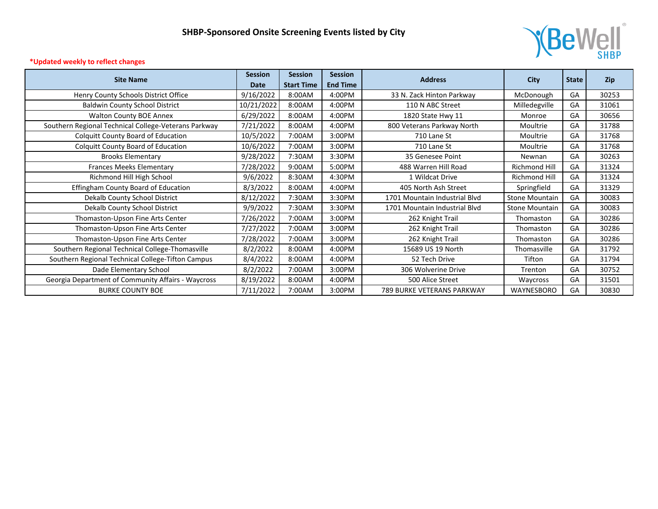

## **\*Updated weekly to reflect changes**

| <b>Site Name</b>                                     | <b>Session</b><br><b>Date</b> | <b>Session</b><br><b>Start Time</b> | <b>Session</b><br><b>End Time</b> | <b>Address</b>                | City                  | <b>State</b> | Zip   |
|------------------------------------------------------|-------------------------------|-------------------------------------|-----------------------------------|-------------------------------|-----------------------|--------------|-------|
| Henry County Schools District Office                 | 9/16/2022                     | 8:00AM                              | 4:00PM                            | 33 N. Zack Hinton Parkway     | McDonough             | GA           | 30253 |
| <b>Baldwin County School District</b>                | 10/21/2022                    | 8:00AM                              | 4:00PM                            | 110 N ABC Street              | Milledegville         | GA           | 31061 |
| <b>Walton County BOE Annex</b>                       | 6/29/2022                     | 8:00AM                              | 4:00PM                            | 1820 State Hwy 11             | Monroe                | GA           | 30656 |
| Southern Regional Technical College-Veterans Parkway | 7/21/2022                     | 8:00AM                              | 4:00PM                            | 800 Veterans Parkway North    | Moultrie              | GA           | 31788 |
| <b>Colquitt County Board of Education</b>            | 10/5/2022                     | 7:00AM                              | 3:00PM                            | 710 Lane St                   | Moultrie              | GA           | 31768 |
| <b>Colquitt County Board of Education</b>            | 10/6/2022                     | 7:00AM                              | 3:00PM                            | 710 Lane St                   | Moultrie              | GA           | 31768 |
| <b>Brooks Elementary</b>                             | 9/28/2022                     | 7:30AM                              | 3:30PM                            | 35 Genesee Point              | Newnan                | GA           | 30263 |
| <b>Frances Meeks Elementary</b>                      | 7/28/2022                     | 9:00AM                              | 5:00PM                            | 488 Warren Hill Road          | Richmond Hill         | GA           | 31324 |
| Richmond Hill High School                            | 9/6/2022                      | 8:30AM                              | 4:30PM                            | 1 Wildcat Drive               | <b>Richmond Hill</b>  | GA           | 31324 |
| <b>Effingham County Board of Education</b>           | 8/3/2022                      | 8:00AM                              | 4:00PM                            | 405 North Ash Street          | Springfield           | GA           | 31329 |
| Dekalb County School District                        | 8/12/2022                     | 7:30AM                              | 3:30PM                            | 1701 Mountain Industrial Blyd | <b>Stone Mountain</b> | GA           | 30083 |
| Dekalb County School District                        | 9/9/2022                      | 7:30AM                              | 3:30PM                            | 1701 Mountain Industrial Blvd | Stone Mountain        | GA           | 30083 |
| Thomaston-Upson Fine Arts Center                     | 7/26/2022                     | 7:00AM                              | 3:00PM                            | 262 Knight Trail              | Thomaston             | GA           | 30286 |
| Thomaston-Upson Fine Arts Center                     | 7/27/2022                     | 7:00AM                              | 3:00PM                            | 262 Knight Trail              | Thomaston             | GA           | 30286 |
| Thomaston-Upson Fine Arts Center                     | 7/28/2022                     | 7:00AM                              | 3:00PM                            | 262 Knight Trail              | Thomaston             | GA           | 30286 |
| Southern Regional Technical College-Thomasville      | 8/2/2022                      | 8:00AM                              | 4:00PM                            | 15689 US 19 North             | Thomasville           | GA           | 31792 |
| Southern Regional Technical College-Tifton Campus    | 8/4/2022                      | 8:00AM                              | 4:00PM                            | 52 Tech Drive                 | Tifton                | GA           | 31794 |
| Dade Elementary School                               | 8/2/2022                      | 7:00AM                              | 3:00PM                            | 306 Wolverine Drive           | Trenton               | GA           | 30752 |
| Georgia Department of Community Affairs - Waycross   | 8/19/2022                     | 8:00AM                              | 4:00PM                            | 500 Alice Street              | Waycross              | GA           | 31501 |
| <b>BURKE COUNTY BOE</b>                              | 7/11/2022                     | 7:00AM                              | 3:00PM                            | 789 BURKE VETERANS PARKWAY    | WAYNESBORO            | GA           | 30830 |